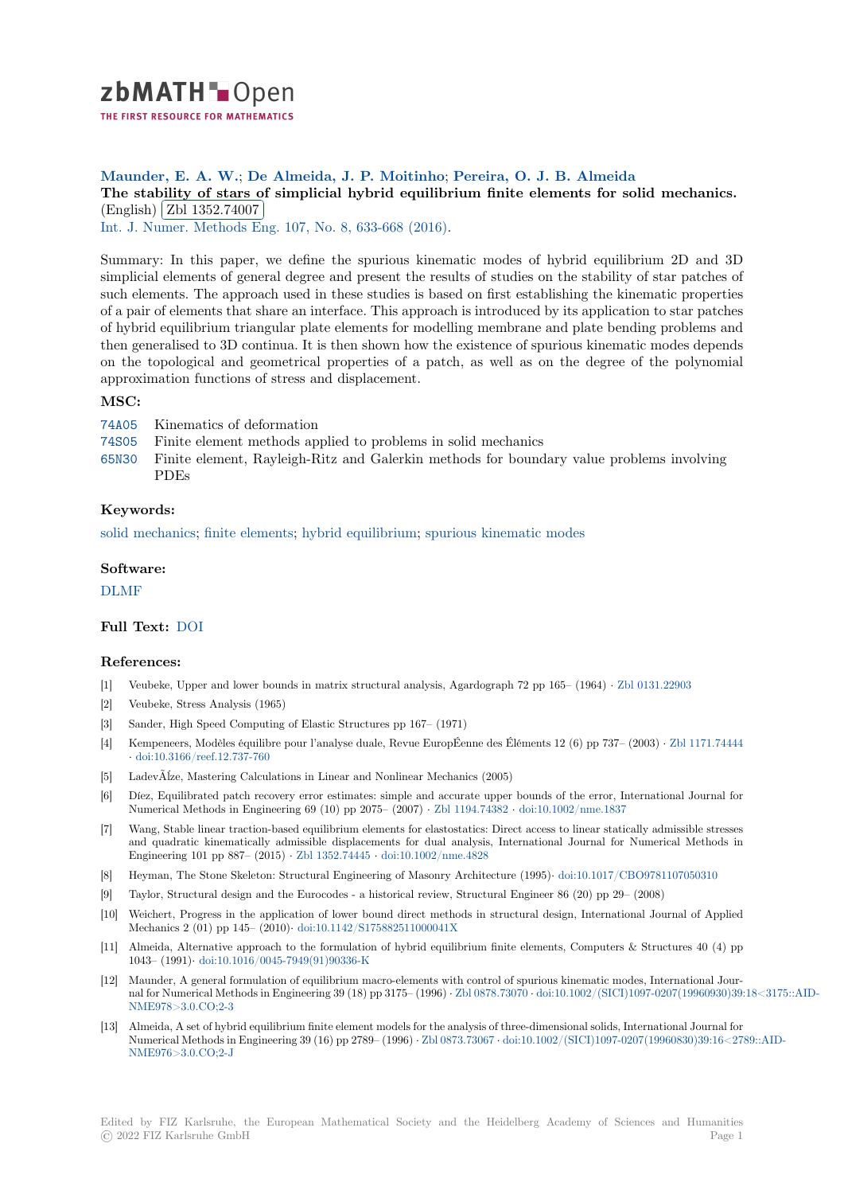

# **Maunder, E. A. W.**; **De Almeida, J. P. Moitinho**; **Pereira, O. J. B. Almeida**

[T](https://zbmath.org/)he stability of stars of simplicial hybrid equilibrium finite elements for solid mechanics. English) Zbl 1352.74007

<sup>The</sup> Unglish (201 1992, 1907)<br>Int. J. Numer. Methods Eng. 107, No. 8, 633-668 (2016).

[Summary: In this paper, we define the spurious kinematic modes of hybrid equilibrium 2D and 3D](https://zbmath.org/1352.74007) simplicial [elements of gener](https://zbmath.org/1352.74007)al degree and present the results of studies on the stability of star patches of [such elements. The approach](https://zbmath.org/journals/?q=se:462) [used in these studies is bas](https://zbmath.org/?q=in:357709)ed on first establishing the kinematic properties of a pair of elements that share an interface. This approach is introduced by its application to star patches of hybrid equilibrium triangular plate elements for modelling membrane and plate bending problems and then generalised to 3D continua. It is then shown how the existence of spurious kinematic modes depends on the topological and geometrical properties of a patch, as well as on the degree of the polynomial approximation functions of stress and displacement.

## **MSC:**

- 74A05 Kinematics of deformation
- 74S05 Finite element methods applied to problems in solid mechanics
- 65N30 Finite element, Rayleigh-Ritz and Galerkin methods for boundary value problems involving PDEs

### **[Keyw](https://zbmath.org/classification/?q=cc:74S05)ords:**

[solid m](https://zbmath.org/classification/?q=cc:65N30)echanics; finite elements; hybrid equilibrium; spurious kinematic modes

#### **Software:**

[DLMF](https://zbmath.org/?q=ut:solid+mechanics)

#### **Full Text:** DOI

#### **[Refere](https://swmath.org/software/4968)nces:**

- [1] Veubeke, Upper and lower bounds in matrix structural analysis, Agardograph 72 pp 165– (1964) *·* Zbl 0131.22903
- [2] Veubeke, [Stress](https://dx.doi.org/10.1002/nme.5179) Analysis (1965)
- [3] Sander, High Speed Computing of Elastic Structures pp 167– (1971)
- [4] Kempeneers, Modèles équilibre pour l'analyse duale, Revue EuropÉenne des Éléments 12 (6) pp 73[7– \(2003\)](https://zbmath.org/0131.22903) *·* Zbl 1171.74444 *·* doi:10.3166/reef.12.737-760
- [5] LadevÃĺze, Mastering Calculations in Linear and Nonlinear Mechanics (2005)
- [6] Díez, Equilibrated patch recovery error estimates: simple and accurate upper bounds of the error, International Journal for Numerical Methods in Engineering 69 (10) pp 2075– (2007) *·* Zbl 1194.74382 *·* doi:10.1002/nme.1837
- [7] [Wang, Stable linear traction-](https://dx.doi.org/10.3166/reef.12.737-760)based equilibrium elements for elastostatics: Direct access to linear statically admissible stresses and quadratic kinematically admissible displacements for dual analysis, International Journal for Numerical Methods in Engineering 101 pp 887– (2015) *·* Zbl 1352.74445 *·* doi:10.1002/nme.4828
- [8] Heyman, The Stone Skeleton: Structural Engineering of Mas[onry Architectur](https://zbmath.org/1194.74382)e (1995)*·* [doi:10.1017/C](https://dx.doi.org/10.1002/nme.1837)BO9781107050310
- [9] Taylor, Structural design and the Eurocodes a historical review, Structural Engineer 86 (20) pp 29– (2008)
- [10] Weichert, Progress in the application of lower bound direct methods in structural design, International Journal of Applied Mechanics 2 (01) pp 145– (2010)*·* [doi:10.1142/S1](https://zbmath.org/1352.74445)7[5882511000041X](https://dx.doi.org/10.1002/nme.4828)
- [11] Almeida, Alternative approach to the formulation of hybrid equilibrium finite elemen[ts, Computers & Structures 40 \(4](https://dx.doi.org/10.1017/CBO9781107050310)) pp 1043– (1991)*·* doi:10.1016/0045-7949(91)90336-K
- [12] Maunder, A general formulation of equilibrium macro-elements with control of spurious kinematic modes, International Journal for Numerical Methods in Engi[neering 39 \(18\) pp 3175– \(1996\)](https://dx.doi.org/10.1142/S175882511000041X) *·* Zbl 0878.73070 *·* doi:10.1002/(SICI)1097-0207(19960930)39:18<3175::AID-NME978>3.0.CO;2-3
- [13] Almeida, A se[t of hybrid equilibrium finite element](https://dx.doi.org/10.1016/0045-7949(91)90336-K) models for the analysis of three-dimensional solids, International Journal for Numerical Methods in Engineering 39 (16) pp 2789– (1996) *·* Zbl 0873.73067 *·* doi:10.1002/(SICI)1097-0207(19960830)39:16<2789::AID-NME976>3.0.CO;2-J